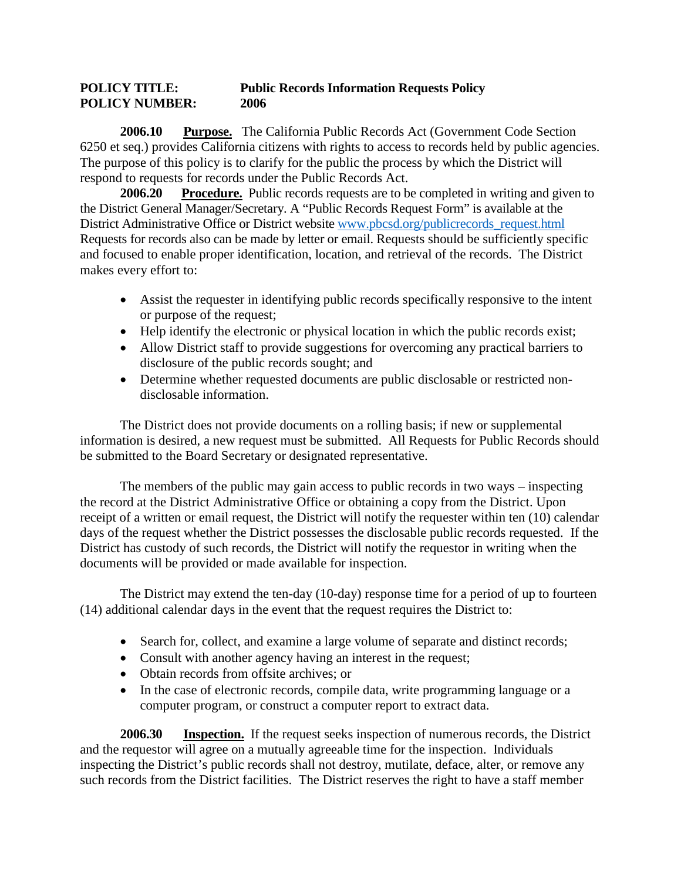## **POLICY TITLE: Public Records Information Requests Policy POLICY NUMBER: 2006**

**2006.10 Purpose.** The California Public Records Act (Government Code Section 6250 et seq.) provides California citizens with rights to access to records held by public agencies. The purpose of this policy is to clarify for the public the process by which the District will respond to requests for records under the Public Records Act.

**2006.20** Procedure. Public records requests are to be completed in writing and given to the District General Manager/Secretary. A "Public Records Request Form" is available at the District Administrative Office or District websit[e www.pbcsd.org/publicrecords\\_request.html](http://www.pbcsd.org/publicrecords_request.html) Requests for records also can be made by letter or email. Requests should be sufficiently specific and focused to enable proper identification, location, and retrieval of the records. The District makes every effort to:

- Assist the requester in identifying public records specifically responsive to the intent or purpose of the request;
- Help identify the electronic or physical location in which the public records exist;
- Allow District staff to provide suggestions for overcoming any practical barriers to disclosure of the public records sought; and
- Determine whether requested documents are public disclosable or restricted nondisclosable information.

The District does not provide documents on a rolling basis; if new or supplemental information is desired, a new request must be submitted. All Requests for Public Records should be submitted to the Board Secretary or designated representative.

The members of the public may gain access to public records in two ways – inspecting the record at the District Administrative Office or obtaining a copy from the District. Upon receipt of a written or email request, the District will notify the requester within ten (10) calendar days of the request whether the District possesses the disclosable public records requested. If the District has custody of such records, the District will notify the requestor in writing when the documents will be provided or made available for inspection.

The District may extend the ten-day (10-day) response time for a period of up to fourteen (14) additional calendar days in the event that the request requires the District to:

- Search for, collect, and examine a large volume of separate and distinct records;
- Consult with another agency having an interest in the request;
- Obtain records from offsite archives; or
- In the case of electronic records, compile data, write programming language or a computer program, or construct a computer report to extract data.

**2006.30 Inspection.** If the request seeks inspection of numerous records, the District and the requestor will agree on a mutually agreeable time for the inspection. Individuals inspecting the District's public records shall not destroy, mutilate, deface, alter, or remove any such records from the District facilities. The District reserves the right to have a staff member